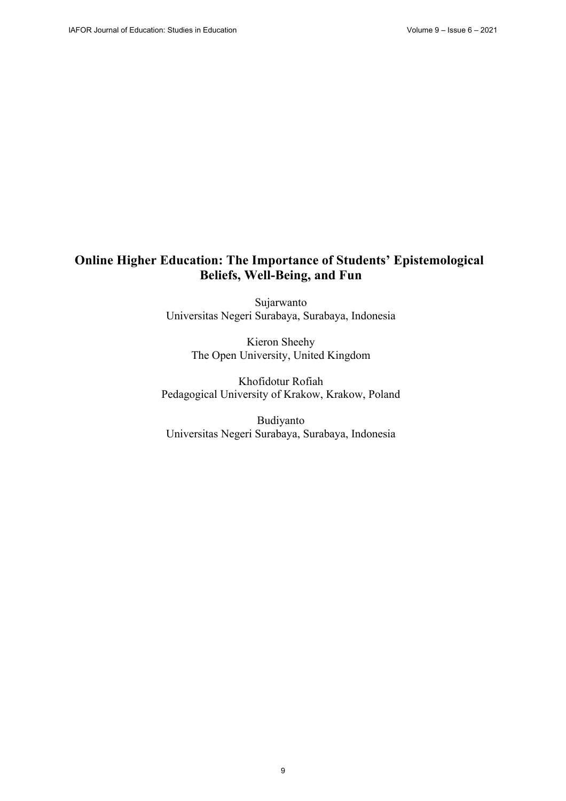# **Online Higher Education: The Importance of Students' Epistemological Beliefs, Well-Being, and Fun**

Sujarwanto Universitas Negeri Surabaya, Surabaya, Indonesia

> Kieron Sheehy The Open University, United Kingdom

Khofidotur Rofiah Pedagogical University of Krakow, Krakow, Poland

Budiyanto Universitas Negeri Surabaya, Surabaya, Indonesia

9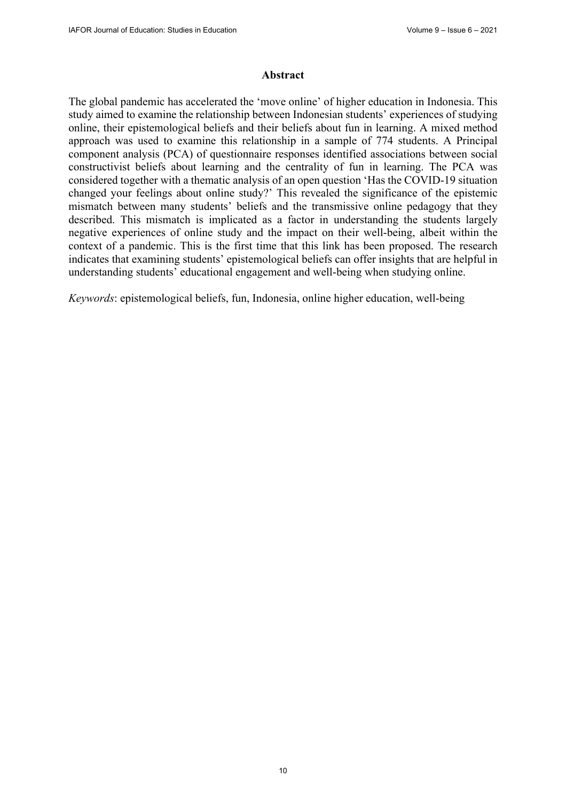### **Abstract**

The global pandemic has accelerated the 'move online' of higher education in Indonesia. This study aimed to examine the relationship between Indonesian students' experiences of studying online, their epistemological beliefs and their beliefs about fun in learning. A mixed method approach was used to examine this relationship in a sample of 774 students. A Principal component analysis (PCA) of questionnaire responses identified associations between social constructivist beliefs about learning and the centrality of fun in learning. The PCA was considered together with a thematic analysis of an open question 'Has the COVID-19 situation changed your feelings about online study?' This revealed the significance of the epistemic mismatch between many students' beliefs and the transmissive online pedagogy that they described. This mismatch is implicated as a factor in understanding the students largely negative experiences of online study and the impact on their well-being, albeit within the context of a pandemic. This is the first time that this link has been proposed. The research indicates that examining students' epistemological beliefs can offer insights that are helpful in understanding students' educational engagement and well-being when studying online.

*Keywords*: epistemological beliefs, fun, Indonesia, online higher education, well-being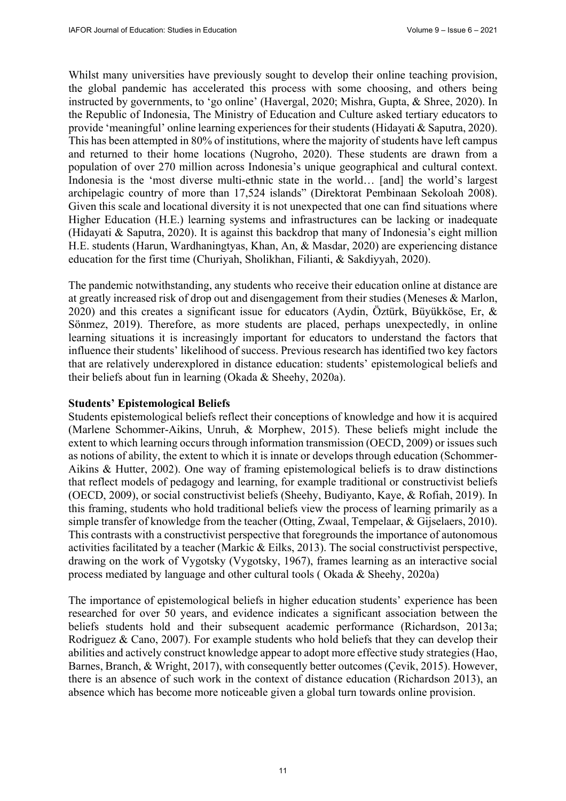Whilst many universities have previously sought to develop their online teaching provision, the global pandemic has accelerated this process with some choosing, and others being instructed by governments, to 'go online' (Havergal, 2020; Mishra, Gupta, & Shree, 2020). In the Republic of Indonesia, The Ministry of Education and Culture asked tertiary educators to provide 'meaningful' online learning experiences for their students (Hidayati & Saputra, 2020). This has been attempted in 80% of institutions, where the majority of students have left campus and returned to their home locations (Nugroho, 2020). These students are drawn from a population of over 270 million across Indonesia's unique geographical and cultural context. Indonesia is the 'most diverse multi-ethnic state in the world… [and] the world's largest archipelagic country of more than 17,524 islands" (Direktorat Pembinaan Sekoloah 2008). Given this scale and locational diversity it is not unexpected that one can find situations where Higher Education (H.E.) learning systems and infrastructures can be lacking or inadequate (Hidayati & Saputra, 2020). It is against this backdrop that many of Indonesia's eight million H.E. students (Harun, Wardhaningtyas, Khan, An, & Masdar, 2020) are experiencing distance education for the first time (Churiyah, Sholikhan, Filianti, & Sakdiyyah, 2020).

The pandemic notwithstanding, any students who receive their education online at distance are at greatly increased risk of drop out and disengagement from their studies (Meneses & Marlon, 2020) and this creates a significant issue for educators (Aydin, Öztürk, Büyükköse, Er, & Sönmez, 2019). Therefore, as more students are placed, perhaps unexpectedly, in online learning situations it is increasingly important for educators to understand the factors that influence their students' likelihood of success. Previous research has identified two key factors that are relatively underexplored in distance education: students' epistemological beliefs and their beliefs about fun in learning (Okada & Sheehy, 2020a).

### **Students' Epistemological Beliefs**

Students epistemological beliefs reflect their conceptions of knowledge and how it is acquired (Marlene Schommer-Aikins, Unruh, & Morphew, 2015). These beliefs might include the extent to which learning occurs through information transmission (OECD, 2009) or issues such as notions of ability, the extent to which it is innate or develops through education (Schommer-Aikins & Hutter, 2002). One way of framing epistemological beliefs is to draw distinctions that reflect models of pedagogy and learning, for example traditional or constructivist beliefs (OECD, 2009), or social constructivist beliefs (Sheehy, Budiyanto, Kaye, & Rofiah, 2019). In this framing, students who hold traditional beliefs view the process of learning primarily as a simple transfer of knowledge from the teacher (Otting, Zwaal, Tempelaar, & Gijselaers, 2010). This contrasts with a constructivist perspective that foregrounds the importance of autonomous activities facilitated by a teacher (Markic & Eilks, 2013). The social constructivist perspective, drawing on the work of Vygotsky (Vygotsky, 1967), frames learning as an interactive social process mediated by language and other cultural tools ( Okada & Sheehy, 2020a)

The importance of epistemological beliefs in higher education students' experience has been researched for over 50 years, and evidence indicates a significant association between the beliefs students hold and their subsequent academic performance (Richardson, 2013a; Rodriguez & Cano, 2007). For example students who hold beliefs that they can develop their abilities and actively construct knowledge appear to adopt more effective study strategies (Hao, Barnes, Branch, & Wright, 2017), with consequently better outcomes (Çevik, 2015). However, there is an absence of such work in the context of distance education (Richardson 2013), an absence which has become more noticeable given a global turn towards online provision.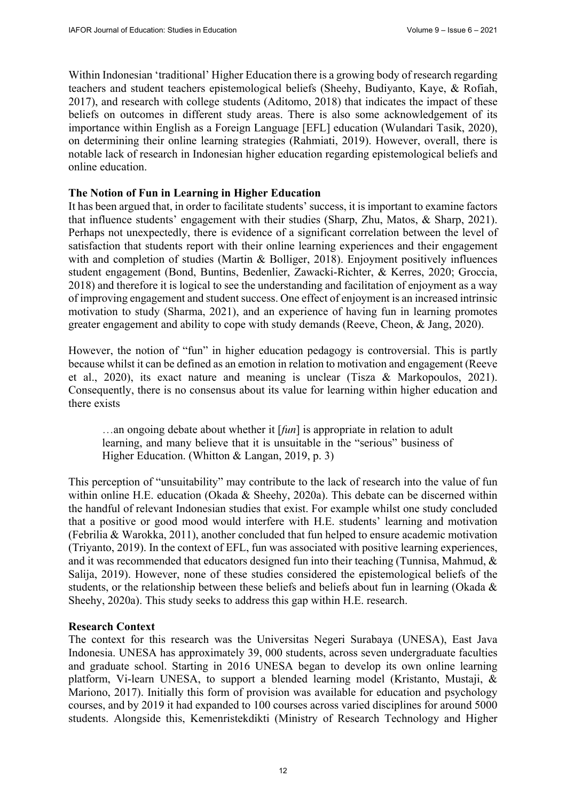Within Indonesian 'traditional' Higher Education there is a growing body of research regarding teachers and student teachers epistemological beliefs (Sheehy, Budiyanto, Kaye, & Rofiah, 2017), and research with college students (Aditomo, 2018) that indicates the impact of these beliefs on outcomes in different study areas. There is also some acknowledgement of its importance within English as a Foreign Language [EFL] education (Wulandari Tasik, 2020), on determining their online learning strategies (Rahmiati, 2019). However, overall, there is notable lack of research in Indonesian higher education regarding epistemological beliefs and online education.

## **The Notion of Fun in Learning in Higher Education**

It has been argued that, in order to facilitate students' success, it is important to examine factors that influence students' engagement with their studies (Sharp, Zhu, Matos, & Sharp, 2021). Perhaps not unexpectedly, there is evidence of a significant correlation between the level of satisfaction that students report with their online learning experiences and their engagement with and completion of studies (Martin & Bolliger, 2018). Enjoyment positively influences student engagement (Bond, Buntins, Bedenlier, Zawacki-Richter, & Kerres, 2020; Groccia, 2018) and therefore it is logical to see the understanding and facilitation of enjoyment as a way of improving engagement and student success. One effect of enjoyment is an increased intrinsic motivation to study (Sharma, 2021), and an experience of having fun in learning promotes greater engagement and ability to cope with study demands (Reeve, Cheon, & Jang, 2020).

However, the notion of "fun" in higher education pedagogy is controversial. This is partly because whilst it can be defined as an emotion in relation to motivation and engagement (Reeve et al., 2020), its exact nature and meaning is unclear (Tisza & Markopoulos, 2021). Consequently, there is no consensus about its value for learning within higher education and there exists

…an ongoing debate about whether it [*fun*] is appropriate in relation to adult learning, and many believe that it is unsuitable in the "serious" business of Higher Education. (Whitton & Langan, 2019, p. 3)

This perception of "unsuitability" may contribute to the lack of research into the value of fun within online H.E. education (Okada & Sheehy, 2020a). This debate can be discerned within the handful of relevant Indonesian studies that exist. For example whilst one study concluded that a positive or good mood would interfere with H.E. students' learning and motivation (Febrilia & Warokka, 2011), another concluded that fun helped to ensure academic motivation (Triyanto, 2019). In the context of EFL, fun was associated with positive learning experiences, and it was recommended that educators designed fun into their teaching (Tunnisa, Mahmud, & Salija, 2019). However, none of these studies considered the epistemological beliefs of the students, or the relationship between these beliefs and beliefs about fun in learning (Okada & Sheehy, 2020a). This study seeks to address this gap within H.E. research.

### **Research Context**

The context for this research was the Universitas Negeri Surabaya (UNESA), East Java Indonesia. UNESA has approximately 39, 000 students, across seven undergraduate faculties and graduate school. Starting in 2016 UNESA began to develop its own online learning platform, Vi-learn UNESA, to support a blended learning model (Kristanto, Mustaji, & Mariono, 2017). Initially this form of provision was available for education and psychology courses, and by 2019 it had expanded to 100 courses across varied disciplines for around 5000 students. Alongside this, Kemenristekdikti (Ministry of Research Technology and Higher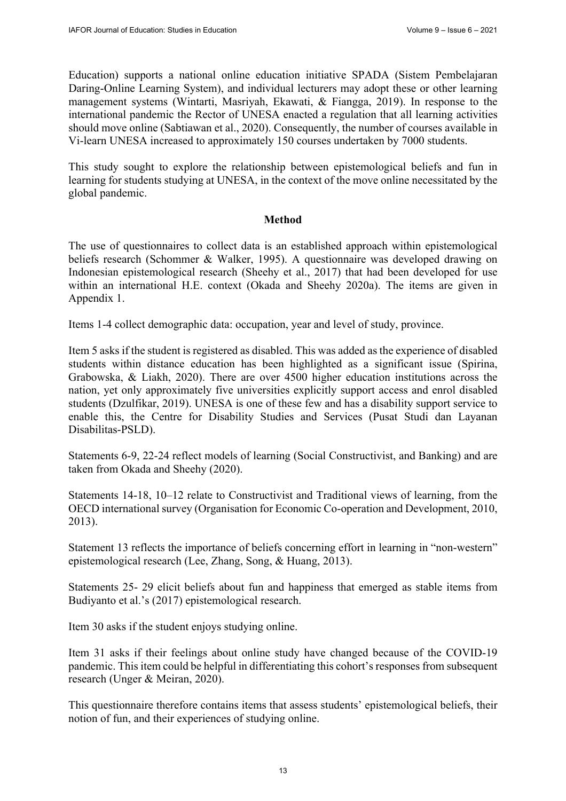Education) supports a national online education initiative SPADA (Sistem Pembelajaran Daring-Online Learning System), and individual lecturers may adopt these or other learning management systems (Wintarti, Masriyah, Ekawati, & Fiangga, 2019). In response to the international pandemic the Rector of UNESA enacted a regulation that all learning activities should move online (Sabtiawan et al., 2020). Consequently, the number of courses available in Vi-learn UNESA increased to approximately 150 courses undertaken by 7000 students.

This study sought to explore the relationship between epistemological beliefs and fun in learning for students studying at UNESA, in the context of the move online necessitated by the global pandemic.

# **Method**

The use of questionnaires to collect data is an established approach within epistemological beliefs research (Schommer & Walker, 1995). A questionnaire was developed drawing on Indonesian epistemological research (Sheehy et al., 2017) that had been developed for use within an international H.E. context (Okada and Sheehy 2020a). The items are given in Appendix 1.

Items 1-4 collect demographic data: occupation, year and level of study, province.

Item 5 asks if the student is registered as disabled. This was added as the experience of disabled students within distance education has been highlighted as a significant issue (Spirina, Grabowska, & Liakh, 2020). There are over 4500 higher education institutions across the nation, yet only approximately five universities explicitly support access and enrol disabled students (Dzulfikar, 2019). UNESA is one of these few and has a disability support service to enable this, the Centre for Disability Studies and Services (Pusat Studi dan Layanan Disabilitas-PSLD).

Statements 6-9, 22-24 reflect models of learning (Social Constructivist, and Banking) and are taken from Okada and Sheehy (2020).

Statements 14-18, 10–12 relate to Constructivist and Traditional views of learning, from the OECD international survey (Organisation for Economic Co-operation and Development, 2010, 2013).

Statement 13 reflects the importance of beliefs concerning effort in learning in "non-western" epistemological research (Lee, Zhang, Song, & Huang, 2013).

Statements 25- 29 elicit beliefs about fun and happiness that emerged as stable items from Budiyanto et al.'s (2017) epistemological research.

Item 30 asks if the student enjoys studying online.

Item 31 asks if their feelings about online study have changed because of the COVID-19 pandemic. This item could be helpful in differentiating this cohort's responses from subsequent research (Unger & Meiran, 2020).

This questionnaire therefore contains items that assess students' epistemological beliefs, their notion of fun, and their experiences of studying online.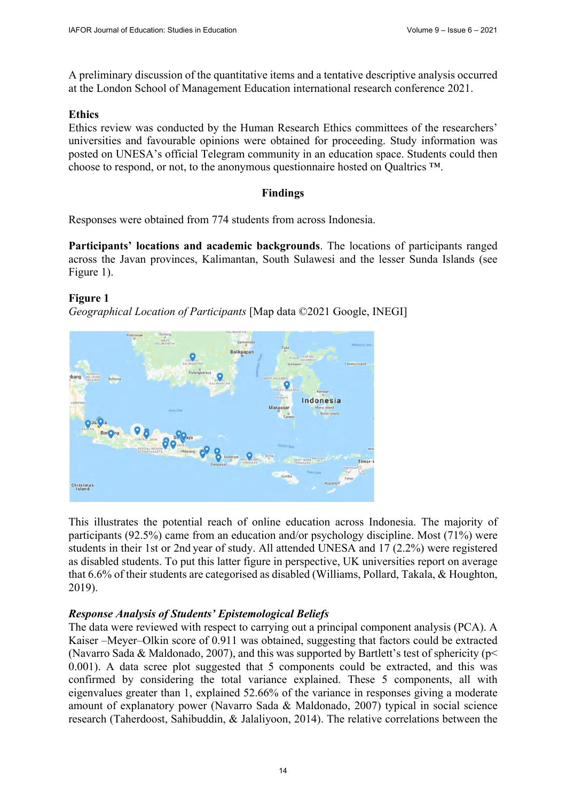A preliminary discussion of the quantitative items and a tentative descriptive analysis occurred at the London School of Management Education international research conference 2021.

# **Ethics**

Ethics review was conducted by the Human Research Ethics committees of the researchers' universities and favourable opinions were obtained for proceeding. Study information was posted on UNESA's official Telegram community in an education space. Students could then choose to respond, or not, to the anonymous questionnaire hosted on Qualtrics ™.

# **Findings**

Responses were obtained from 774 students from across Indonesia.

**Participants' locations and academic backgrounds**. The locations of participants ranged across the Javan provinces, Kalimantan, South Sulawesi and the lesser Sunda Islands (see Figure 1).

# **Figure 1**

*Geographical Location of Participants* [Map data ©2021 Google, INEGI]



This illustrates the potential reach of online education across Indonesia. The majority of participants (92.5%) came from an education and/or psychology discipline. Most (71%) were students in their 1st or 2nd year of study. All attended UNESA and 17 (2.2%) were registered as disabled students. To put this latter figure in perspective, UK universities report on average that 6.6% of their students are categorised as disabled (Williams, Pollard, Takala, & Houghton, 2019).

### *Response Analysis of Students' Epistemological Beliefs*

The data were reviewed with respect to carrying out a principal component analysis (PCA). A Kaiser –Meyer–Olkin score of 0.911 was obtained, suggesting that factors could be extracted (Navarro Sada & Maldonado, 2007), and this was supported by Bartlett's test of sphericity ( $p$  < 0.001). A data scree plot suggested that 5 components could be extracted, and this was confirmed by considering the total variance explained. These 5 components, all with eigenvalues greater than 1, explained 52.66% of the variance in responses giving a moderate amount of explanatory power (Navarro Sada & Maldonado, 2007) typical in social science research (Taherdoost, Sahibuddin, & Jalaliyoon, 2014). The relative correlations between the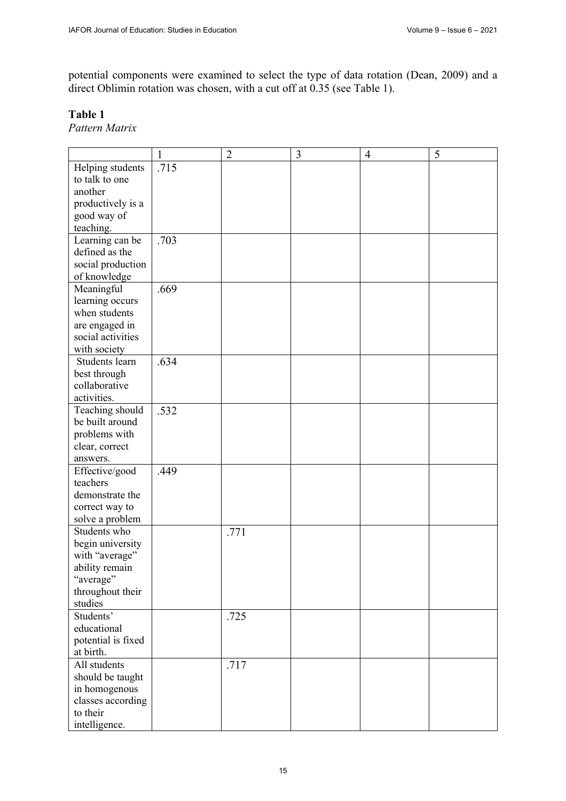potential components were examined to select the type of data rotation (Dean, 2009) and a direct Oblimin rotation was chosen, with a cut off at 0.35 (see Table 1).

# **Table 1**

*Pattern Matrix* 

|                                   | $\mathbf{1}$ | $\overline{2}$ | $\mathfrak{Z}$ | 4 | 5 |
|-----------------------------------|--------------|----------------|----------------|---|---|
| Helping students                  | .715         |                |                |   |   |
| to talk to one                    |              |                |                |   |   |
| another                           |              |                |                |   |   |
| productively is a                 |              |                |                |   |   |
| good way of                       |              |                |                |   |   |
| teaching.                         |              |                |                |   |   |
|                                   |              |                |                |   |   |
| Learning can be<br>defined as the | .703         |                |                |   |   |
|                                   |              |                |                |   |   |
| social production                 |              |                |                |   |   |
| of knowledge                      |              |                |                |   |   |
| Meaningful                        | .669         |                |                |   |   |
| learning occurs                   |              |                |                |   |   |
| when students                     |              |                |                |   |   |
| are engaged in                    |              |                |                |   |   |
| social activities                 |              |                |                |   |   |
| with society                      |              |                |                |   |   |
| Students learn                    | .634         |                |                |   |   |
| best through                      |              |                |                |   |   |
| collaborative                     |              |                |                |   |   |
| activities.                       |              |                |                |   |   |
| Teaching should                   | .532         |                |                |   |   |
| be built around                   |              |                |                |   |   |
| problems with                     |              |                |                |   |   |
|                                   |              |                |                |   |   |
| clear, correct                    |              |                |                |   |   |
| answers.                          |              |                |                |   |   |
| Effective/good                    | .449         |                |                |   |   |
| teachers                          |              |                |                |   |   |
| demonstrate the                   |              |                |                |   |   |
| correct way to                    |              |                |                |   |   |
| solve a problem                   |              |                |                |   |   |
| Students who                      |              | .771           |                |   |   |
| begin university                  |              |                |                |   |   |
| with "average"                    |              |                |                |   |   |
| ability remain                    |              |                |                |   |   |
| "average"                         |              |                |                |   |   |
| throughout their                  |              |                |                |   |   |
| studies                           |              |                |                |   |   |
| Students'                         |              | .725           |                |   |   |
| educational                       |              |                |                |   |   |
| potential is fixed                |              |                |                |   |   |
| at birth.                         |              |                |                |   |   |
|                                   |              |                |                |   |   |
| All students                      |              | .717           |                |   |   |
| should be taught                  |              |                |                |   |   |
| in homogenous                     |              |                |                |   |   |
| classes according                 |              |                |                |   |   |
| to their                          |              |                |                |   |   |
| intelligence.                     |              |                |                |   |   |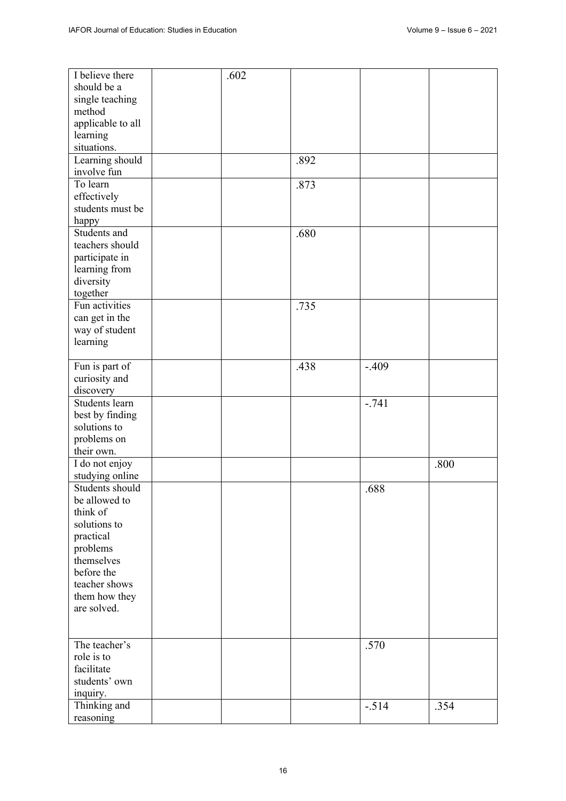| I believe there   | .602 |      |         |      |
|-------------------|------|------|---------|------|
| should be a       |      |      |         |      |
| single teaching   |      |      |         |      |
| method            |      |      |         |      |
| applicable to all |      |      |         |      |
| learning          |      |      |         |      |
| situations.       |      |      |         |      |
| Learning should   |      | .892 |         |      |
| involve fun       |      |      |         |      |
| To learn          |      | .873 |         |      |
| effectively       |      |      |         |      |
| students must be  |      |      |         |      |
| happy             |      |      |         |      |
| Students and      |      | .680 |         |      |
| teachers should   |      |      |         |      |
| participate in    |      |      |         |      |
| learning from     |      |      |         |      |
| diversity         |      |      |         |      |
| together          |      |      |         |      |
| Fun activities    |      | .735 |         |      |
| can get in the    |      |      |         |      |
| way of student    |      |      |         |      |
| learning          |      |      |         |      |
|                   |      |      |         |      |
| Fun is part of    |      | .438 | $-.409$ |      |
| curiosity and     |      |      |         |      |
| discovery         |      |      |         |      |
| Students learn    |      |      | $-.741$ |      |
| best by finding   |      |      |         |      |
| solutions to      |      |      |         |      |
| problems on       |      |      |         |      |
| their own.        |      |      |         |      |
| I do not enjoy    |      |      |         | .800 |
| studying online   |      |      |         |      |
| Students should   |      |      |         |      |
| be allowed to     |      |      | .688    |      |
| think of          |      |      |         |      |
|                   |      |      |         |      |
| solutions to      |      |      |         |      |
| practical         |      |      |         |      |
| problems          |      |      |         |      |
| themselves        |      |      |         |      |
| before the        |      |      |         |      |
| teacher shows     |      |      |         |      |
| them how they     |      |      |         |      |
| are solved.       |      |      |         |      |
|                   |      |      |         |      |
| The teacher's     |      |      |         |      |
| role is to        |      |      | .570    |      |
| facilitate        |      |      |         |      |
|                   |      |      |         |      |
| students' own     |      |      |         |      |
| inquiry.          |      |      |         |      |
| Thinking and      |      |      | $-.514$ | .354 |
| reasoning         |      |      |         |      |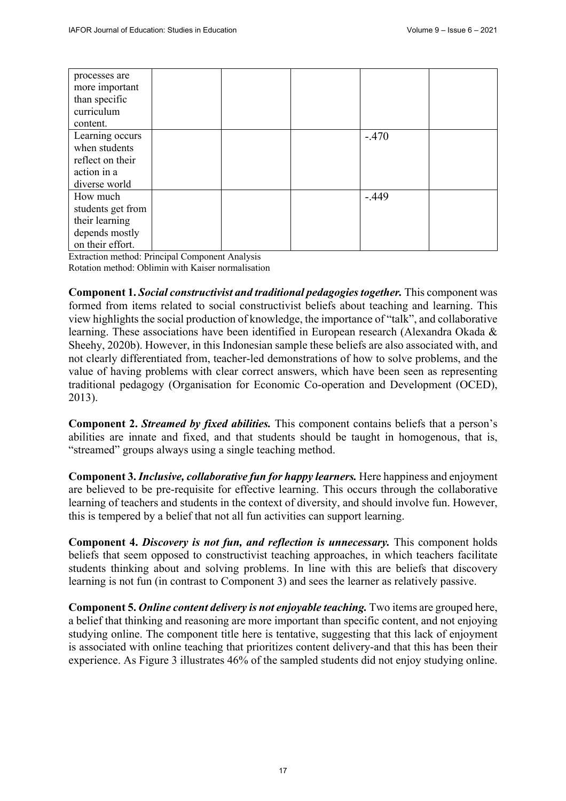| processes are<br>more important<br>than specific<br>curriculum<br>content.            |  |         |  |
|---------------------------------------------------------------------------------------|--|---------|--|
| Learning occurs<br>when students<br>reflect on their<br>action in a<br>diverse world  |  | $-.470$ |  |
| How much<br>students get from<br>their learning<br>depends mostly<br>on their effort. |  | $-.449$ |  |

Extraction method: Principal Component Analysis Rotation method: Oblimin with Kaiser normalisation

**Component 1.** *Social constructivist and traditional pedagogies together.* This component was formed from items related to social constructivist beliefs about teaching and learning. This view highlights the social production of knowledge, the importance of "talk", and collaborative learning. These associations have been identified in European research (Alexandra Okada & Sheehy, 2020b). However, in this Indonesian sample these beliefs are also associated with, and not clearly differentiated from, teacher-led demonstrations of how to solve problems, and the value of having problems with clear correct answers, which have been seen as representing traditional pedagogy (Organisation for Economic Co-operation and Development (OCED), 2013).

**Component 2.** *Streamed by fixed abilities.* This component contains beliefs that a person's abilities are innate and fixed, and that students should be taught in homogenous, that is, "streamed" groups always using a single teaching method.

**Component 3.** *Inclusive, collaborative fun for happy learners.* Here happiness and enjoyment are believed to be pre-requisite for effective learning. This occurs through the collaborative learning of teachers and students in the context of diversity, and should involve fun. However, this is tempered by a belief that not all fun activities can support learning.

**Component 4.** *Discovery is not fun, and reflection is unnecessary.* This component holds beliefs that seem opposed to constructivist teaching approaches, in which teachers facilitate students thinking about and solving problems. In line with this are beliefs that discovery learning is not fun (in contrast to Component 3) and sees the learner as relatively passive.

**Component 5.** *Online content delivery is not enjoyable teaching.* Two items are grouped here, a belief that thinking and reasoning are more important than specific content, and not enjoying studying online. The component title here is tentative, suggesting that this lack of enjoyment is associated with online teaching that prioritizes content delivery-and that this has been their experience. As Figure 3 illustrates 46% of the sampled students did not enjoy studying online.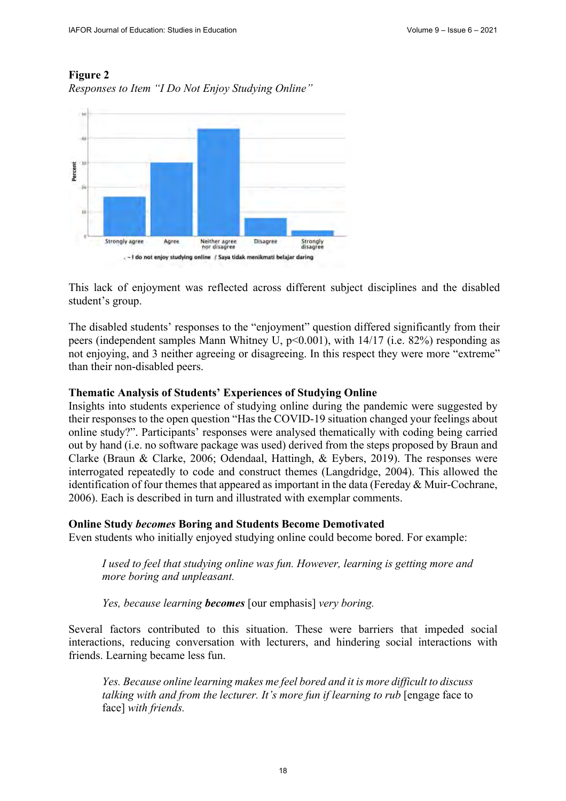# **Figure 2**





This lack of enjoyment was reflected across different subject disciplines and the disabled student's group.

The disabled students' responses to the "enjoyment" question differed significantly from their peers (independent samples Mann Whitney U,  $p \le 0.001$ ), with 14/17 (i.e. 82%) responding as not enjoying, and 3 neither agreeing or disagreeing. In this respect they were more "extreme" than their non-disabled peers.

# **Thematic Analysis of Students' Experiences of Studying Online**

Insights into students experience of studying online during the pandemic were suggested by their responses to the open question "Has the COVID-19 situation changed your feelings about online study?". Participants' responses were analysed thematically with coding being carried out by hand (i.e. no software package was used) derived from the steps proposed by Braun and Clarke (Braun & Clarke, 2006; Odendaal, Hattingh, & Eybers, 2019). The responses were interrogated repeatedly to code and construct themes (Langdridge, 2004). This allowed the identification of four themes that appeared as important in the data (Fereday & Muir-Cochrane, 2006). Each is described in turn and illustrated with exemplar comments.

# **Online Study** *becomes* **Boring and Students Become Demotivated**

Even students who initially enjoyed studying online could become bored. For example:

*I used to feel that studying online was fun. However, learning is getting more and more boring and unpleasant.* 

*Yes, because learning becomes* [our emphasis] *very boring.* 

Several factors contributed to this situation. These were barriers that impeded social interactions, reducing conversation with lecturers, and hindering social interactions with friends. Learning became less fun.

*Yes. Because online learning makes me feel bored and it is more difficult to discuss talking with and from the lecturer. It's more fun if learning to rub* [engage face to face] *with friends.*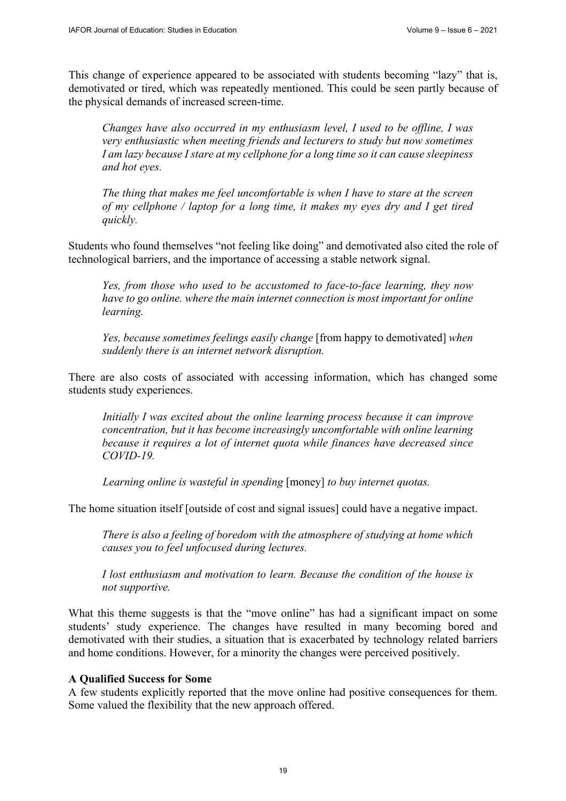This change of experience appeared to be associated with students becoming "lazy" that is, demotivated or tired, which was repeatedly mentioned. This could be seen partly because of the physical demands of increased screen-time.

*Changes have also occurred in my enthusiasm level, I used to be offline, I was very enthusiastic when meeting friends and lecturers to study but now sometimes I am lazy because I stare at my cellphone for a long time so it can cause sleepiness and hot eyes.* 

*The thing that makes me feel uncomfortable is when I have to stare at the screen of my cellphone / laptop for a long time, it makes my eyes dry and I get tired quickly.* 

Students who found themselves "not feeling like doing" and demotivated also cited the role of technological barriers, and the importance of accessing a stable network signal.

*Yes, from those who used to be accustomed to face-to-face learning, they now have to go online. where the main internet connection is most important for online learning.* 

*Yes, because sometimes feelings easily change* [from happy to demotivated] *when suddenly there is an internet network disruption.* 

There are also costs of associated with accessing information, which has changed some students study experiences.

*Initially I was excited about the online learning process because it can improve concentration, but it has become increasingly uncomfortable with online learning because it requires a lot of internet quota while finances have decreased since COVID-19.* 

*Learning online is wasteful in spending* [money] *to buy internet quotas.* 

The home situation itself [outside of cost and signal issues] could have a negative impact.

*There is also a feeling of boredom with the atmosphere of studying at home which causes you to feel unfocused during lectures.* 

*I lost enthusiasm and motivation to learn. Because the condition of the house is not supportive.* 

What this theme suggests is that the "move online" has had a significant impact on some students' study experience. The changes have resulted in many becoming bored and demotivated with their studies, a situation that is exacerbated by technology related barriers and home conditions. However, for a minority the changes were perceived positively.

#### **A Qualified Success for Some**

A few students explicitly reported that the move online had positive consequences for them. Some valued the flexibility that the new approach offered.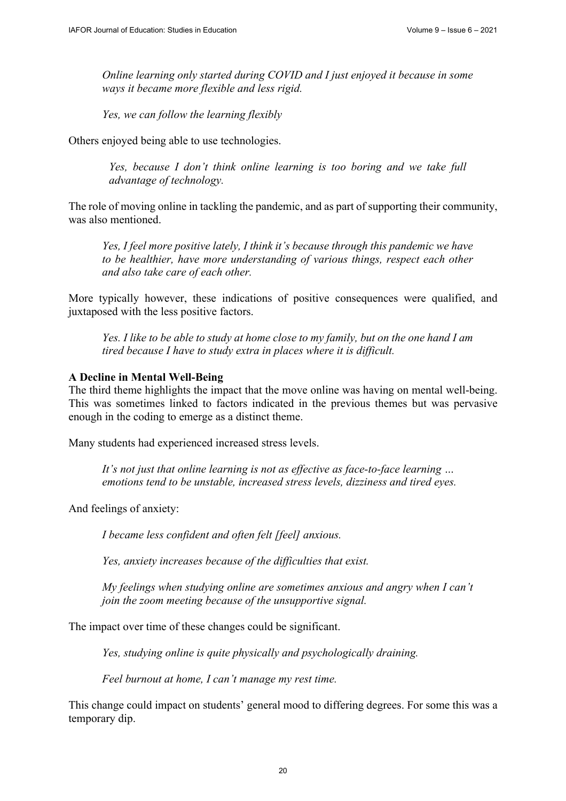*Online learning only started during COVID and I just enjoyed it because in some ways it became more flexible and less rigid.* 

*Yes, we can follow the learning flexibly* 

Others enjoyed being able to use technologies.

*Yes, because I don't think online learning is too boring and we take full advantage of technology.* 

The role of moving online in tackling the pandemic, and as part of supporting their community, was also mentioned.

*Yes, I feel more positive lately, I think it's because through this pandemic we have to be healthier, have more understanding of various things, respect each other and also take care of each other.* 

More typically however, these indications of positive consequences were qualified, and juxtaposed with the less positive factors.

*Yes. I like to be able to study at home close to my family, but on the one hand I am tired because I have to study extra in places where it is difficult.* 

### **A Decline in Mental Well-Being**

The third theme highlights the impact that the move online was having on mental well-being. This was sometimes linked to factors indicated in the previous themes but was pervasive enough in the coding to emerge as a distinct theme.

Many students had experienced increased stress levels.

*It's not just that online learning is not as effective as face-to-face learning … emotions tend to be unstable, increased stress levels, dizziness and tired eyes.* 

And feelings of anxiety:

*I became less confident and often felt [feel] anxious.* 

*Yes, anxiety increases because of the difficulties that exist.* 

*My feelings when studying online are sometimes anxious and angry when I can't join the zoom meeting because of the unsupportive signal.* 

The impact over time of these changes could be significant.

*Yes, studying online is quite physically and psychologically draining.* 

*Feel burnout at home, I can't manage my rest time.* 

This change could impact on students' general mood to differing degrees. For some this was a temporary dip.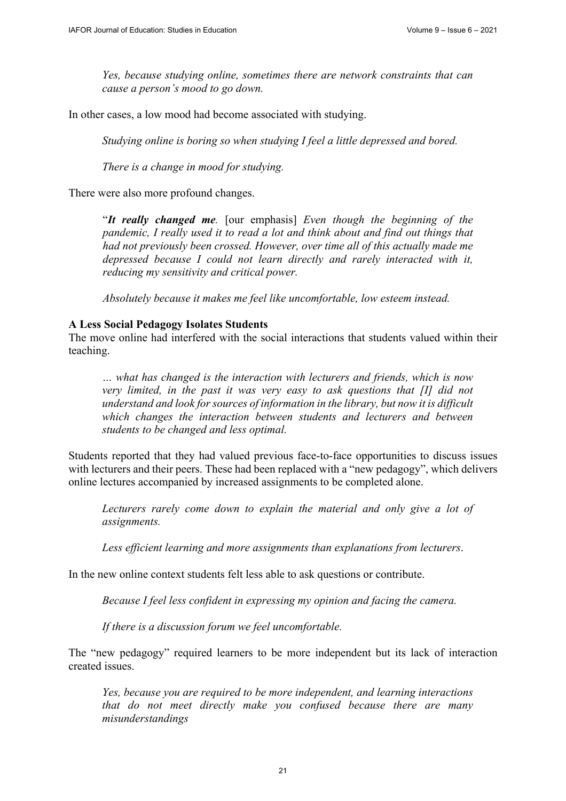*Yes, because studying online, sometimes there are network constraints that can cause a person's mood to go down.* 

In other cases, a low mood had become associated with studying.

*Studying online is boring so when studying I feel a little depressed and bored.* 

*There is a change in mood for studying.* 

There were also more profound changes.

"*It really changed me.* [our emphasis] *Even though the beginning of the pandemic, I really used it to read a lot and think about and find out things that had not previously been crossed. However, over time all of this actually made me depressed because I could not learn directly and rarely interacted with it, reducing my sensitivity and critical power.* 

*Absolutely because it makes me feel like uncomfortable, low esteem instead.* 

#### **A Less Social Pedagogy Isolates Students**

The move online had interfered with the social interactions that students valued within their teaching.

*… what has changed is the interaction with lecturers and friends, which is now very limited, in the past it was very easy to ask questions that [I] did not understand and look for sources of information in the library, but now it is difficult which changes the interaction between students and lecturers and between students to be changed and less optimal.* 

Students reported that they had valued previous face-to-face opportunities to discuss issues with lecturers and their peers. These had been replaced with a "new pedagogy", which delivers online lectures accompanied by increased assignments to be completed alone.

Lecturers rarely come down to explain the material and only give a lot of *assignments.* 

*Less efficient learning and more assignments than explanations from lecturers*.

In the new online context students felt less able to ask questions or contribute.

*Because I feel less confident in expressing my opinion and facing the camera.* 

*If there is a discussion forum we feel uncomfortable.* 

The "new pedagogy" required learners to be more independent but its lack of interaction created issues.

*Yes, because you are required to be more independent, and learning interactions that do not meet directly make you confused because there are many misunderstandings*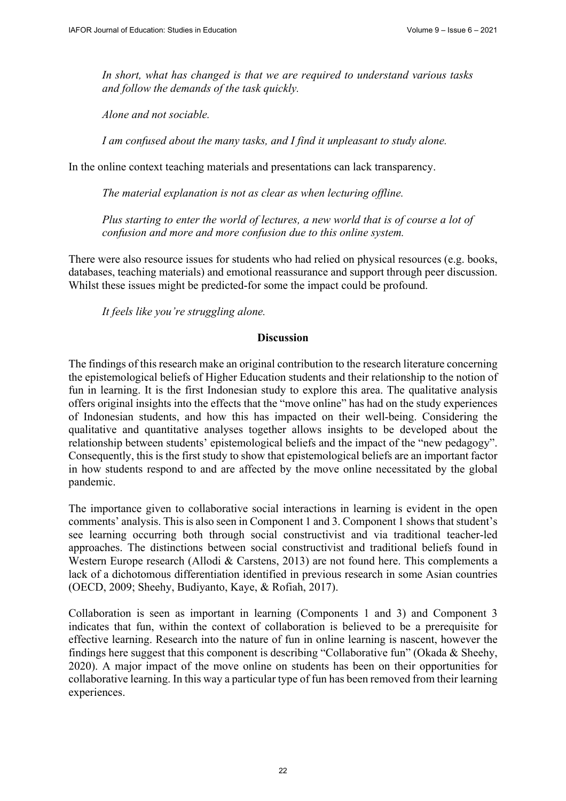*In short, what has changed is that we are required to understand various tasks and follow the demands of the task quickly.* 

*Alone and not sociable.* 

*I am confused about the many tasks, and I find it unpleasant to study alone.* 

In the online context teaching materials and presentations can lack transparency.

*The material explanation is not as clear as when lecturing offline.* 

Plus starting to enter the world of lectures, a new world that is of course a lot of *confusion and more and more confusion due to this online system.* 

There were also resource issues for students who had relied on physical resources (e.g. books, databases, teaching materials) and emotional reassurance and support through peer discussion. Whilst these issues might be predicted-for some the impact could be profound.

*It feels like you're struggling alone.* 

# **Discussion**

The findings of this research make an original contribution to the research literature concerning the epistemological beliefs of Higher Education students and their relationship to the notion of fun in learning. It is the first Indonesian study to explore this area. The qualitative analysis offers original insights into the effects that the "move online" has had on the study experiences of Indonesian students, and how this has impacted on their well-being. Considering the qualitative and quantitative analyses together allows insights to be developed about the relationship between students' epistemological beliefs and the impact of the "new pedagogy". Consequently, this is the first study to show that epistemological beliefs are an important factor in how students respond to and are affected by the move online necessitated by the global pandemic.

The importance given to collaborative social interactions in learning is evident in the open comments' analysis. This is also seen in Component 1 and 3. Component 1 shows that student's see learning occurring both through social constructivist and via traditional teacher-led approaches. The distinctions between social constructivist and traditional beliefs found in Western Europe research (Allodi & Carstens, 2013) are not found here. This complements a lack of a dichotomous differentiation identified in previous research in some Asian countries (OECD, 2009; Sheehy, Budiyanto, Kaye, & Rofiah, 2017).

Collaboration is seen as important in learning (Components 1 and 3) and Component 3 indicates that fun, within the context of collaboration is believed to be a prerequisite for effective learning. Research into the nature of fun in online learning is nascent, however the findings here suggest that this component is describing "Collaborative fun" (Okada & Sheehy, 2020). A major impact of the move online on students has been on their opportunities for collaborative learning. In this way a particular type of fun has been removed from their learning experiences.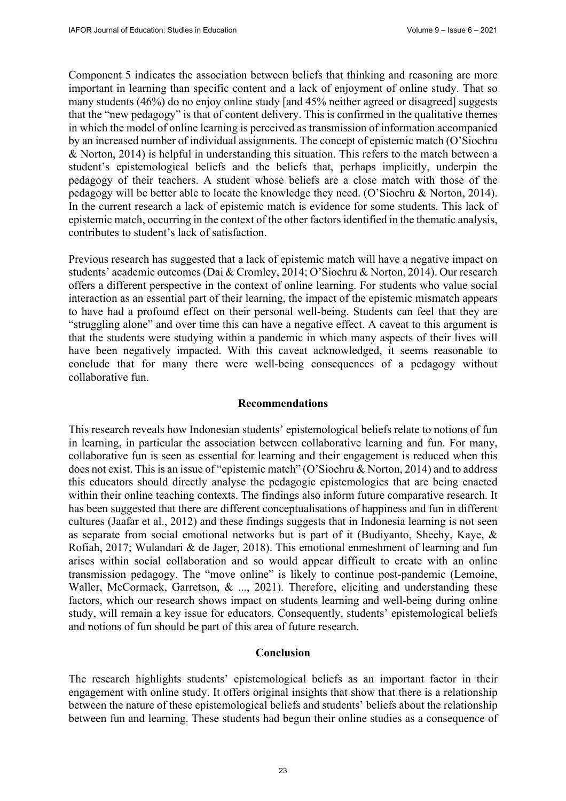Component 5 indicates the association between beliefs that thinking and reasoning are more important in learning than specific content and a lack of enjoyment of online study. That so many students (46%) do no enjoy online study [and 45% neither agreed or disagreed] suggests that the "new pedagogy" is that of content delivery. This is confirmed in the qualitative themes in which the model of online learning is perceived as transmission of information accompanied by an increased number of individual assignments. The concept of epistemic match (O'Siochru & Norton, 2014) is helpful in understanding this situation. This refers to the match between a student's epistemological beliefs and the beliefs that, perhaps implicitly, underpin the pedagogy of their teachers. A student whose beliefs are a close match with those of the pedagogy will be better able to locate the knowledge they need. (O'Siochru & Norton, 2014). In the current research a lack of epistemic match is evidence for some students. This lack of epistemic match, occurring in the context of the other factors identified in the thematic analysis, contributes to student's lack of satisfaction.

Previous research has suggested that a lack of epistemic match will have a negative impact on students' academic outcomes (Dai & Cromley, 2014; O'Siochru & Norton, 2014). Our research offers a different perspective in the context of online learning. For students who value social interaction as an essential part of their learning, the impact of the epistemic mismatch appears to have had a profound effect on their personal well-being. Students can feel that they are "struggling alone" and over time this can have a negative effect. A caveat to this argument is that the students were studying within a pandemic in which many aspects of their lives will have been negatively impacted. With this caveat acknowledged, it seems reasonable to conclude that for many there were well-being consequences of a pedagogy without collaborative fun.

## **Recommendations**

This research reveals how Indonesian students' epistemological beliefs relate to notions of fun in learning, in particular the association between collaborative learning and fun. For many, collaborative fun is seen as essential for learning and their engagement is reduced when this does not exist. This is an issue of "epistemic match" (O'Siochru & Norton, 2014) and to address this educators should directly analyse the pedagogic epistemologies that are being enacted within their online teaching contexts. The findings also inform future comparative research. It has been suggested that there are different conceptualisations of happiness and fun in different cultures (Jaafar et al., 2012) and these findings suggests that in Indonesia learning is not seen as separate from social emotional networks but is part of it (Budiyanto, Sheehy, Kaye, & Rofiah, 2017; Wulandari & de Jager, 2018). This emotional enmeshment of learning and fun arises within social collaboration and so would appear difficult to create with an online transmission pedagogy. The "move online" is likely to continue post-pandemic (Lemoine, Waller, McCormack, Garretson, & ..., 2021). Therefore, eliciting and understanding these factors, which our research shows impact on students learning and well-being during online study, will remain a key issue for educators. Consequently, students' epistemological beliefs and notions of fun should be part of this area of future research.

### **Conclusion**

The research highlights students' epistemological beliefs as an important factor in their engagement with online study. It offers original insights that show that there is a relationship between the nature of these epistemological beliefs and students' beliefs about the relationship between fun and learning. These students had begun their online studies as a consequence of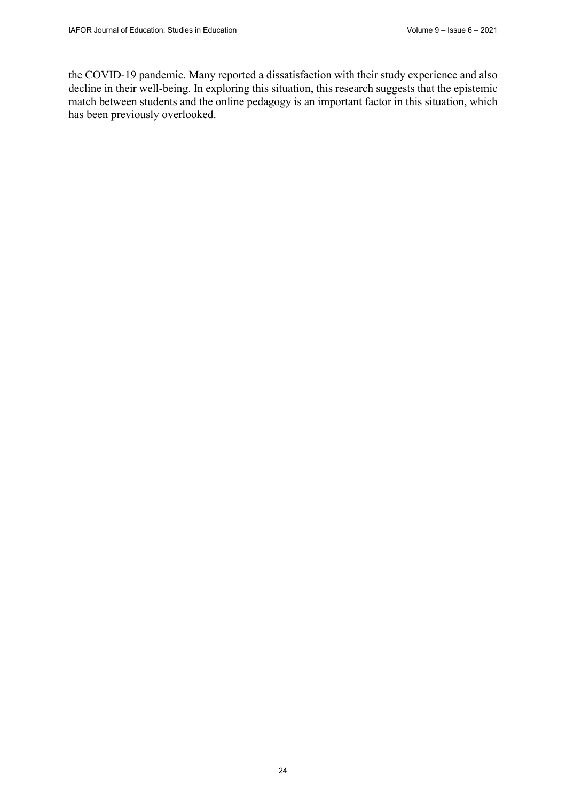the COVID-19 pandemic. Many reported a dissatisfaction with their study experience and also decline in their well-being. In exploring this situation, this research suggests that the epistemic match between students and the online pedagogy is an important factor in this situation, which has been previously overlooked.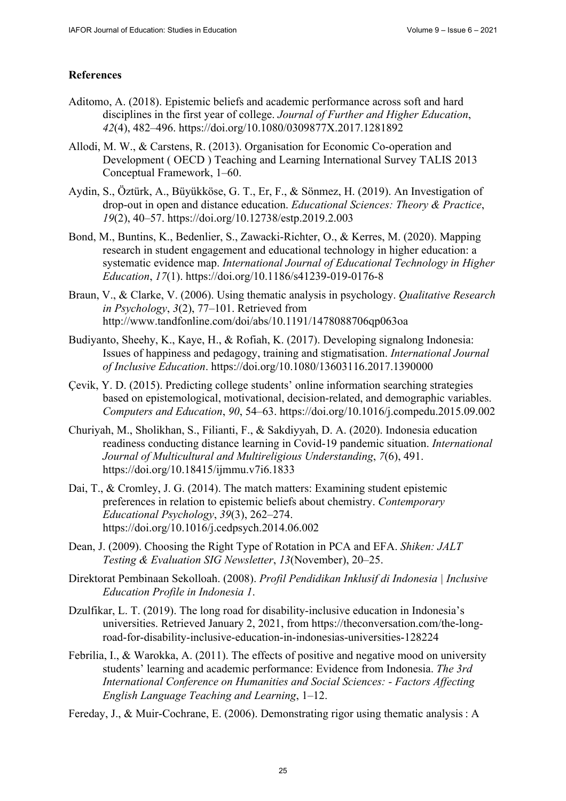# **References**

- Aditomo, A. (2018). Epistemic beliefs and academic performance across soft and hard disciplines in the first year of college. *Journal of Further and Higher Education*, *42*(4), 482–496. <https://doi.org/10.1080/0309877X.2017.1281892>
- Allodi, M. W., & Carstens, R. (2013). Organisation for Economic Co-operation and Development ( OECD ) Teaching and Learning International Survey TALIS 2013 Conceptual Framework, 1–60.
- Aydin, S., Öztürk, A., Büyükköse, G. T., Er, F., & Sönmez, H. (2019). An Investigation of drop-out in open and distance education. *Educational Sciences: Theory & Practice*, *19*(2), 40–57. <https://doi.org/10.12738/estp.2019.2.003>
- Bond, M., Buntins, K., Bedenlier, S., Zawacki-Richter, O., & Kerres, M. (2020). Mapping research in student engagement and educational technology in higher education: a systematic evidence map. *International Journal of Educational Technology in Higher Education*, *17*(1).<https://doi.org/10.1186/s41239-019-0176-8>
- Braun, V., & Clarke, V. (2006). Using thematic analysis in psychology. *Qualitative Research in Psychology*, *3*(2), 77–101. Retrieved from <http://www.tandfonline.com/doi/abs/10.1191/1478088706qp063oa>
- Budiyanto, Sheehy, K., Kaye, H., & Rofiah, K. (2017). Developing signalong Indonesia: Issues of happiness and pedagogy, training and stigmatisation. *International Journal of Inclusive Education*. <https://doi.org/10.1080/13603116.2017.1390000>
- Çevik, Y. D. (2015). Predicting college students' online information searching strategies based on epistemological, motivational, decision-related, and demographic variables. *Computers and Education*, *90*, 54–63. <https://doi.org/10.1016/j.compedu.2015.09.002>
- Churiyah, M., Sholikhan, S., Filianti, F., & Sakdiyyah, D. A. (2020). Indonesia education readiness conducting distance learning in Covid-19 pandemic situation. *International Journal of Multicultural and Multireligious Understanding*, *7*(6), 491. <https://doi.org/10.18415/ijmmu.v7i6.1833>
- Dai, T., & Cromley, J. G. (2014). The match matters: Examining student epistemic preferences in relation to epistemic beliefs about chemistry. *Contemporary Educational Psychology*, *39*(3), 262–274. <https://doi.org/10.1016/j.cedpsych.2014.06.002>
- Dean, J. (2009). Choosing the Right Type of Rotation in PCA and EFA. *Shiken: JALT Testing & Evaluation SIG Newsletter*, *13*(November), 20–25.
- Direktorat Pembinaan Sekolloah. (2008). *Profil Pendidikan Inklusif di Indonesia | Inclusive Education Profile in Indonesia 1*.
- Dzulfikar, L. T. (2019). The long road for disability-inclusive education in Indonesia's [universities. Retrieved January 2, 2021, from https://theconversation.com/the-long](https://theconversation.com/the-long-road-for-disability-inclusive-education-in-indonesias-universities-128224)road[-for-disability-inclusive-education-in-indonesias-universities-128224](https://theconversation.com/the-long-road-for-disability-inclusive-education-in-indonesias-universities-128224)
- Febrilia, I., & Warokka, A. (2011). The effects of positive and negative mood on university students' learning and academic performance: Evidence from Indonesia. *The 3rd International Conference on Humanities and Social Sciences: - Factors Affecting English Language Teaching and Learning*, 1–12.
- Fereday, J., & Muir-Cochrane, E. (2006). Demonstrating rigor using thematic analysis : A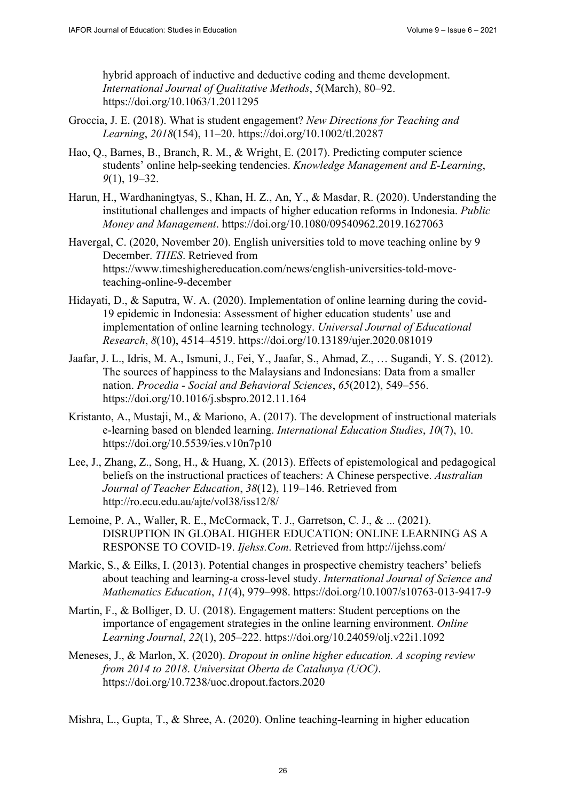hybrid approach of inductive and deductive coding and theme development. *International Journal of Qualitative Methods*, *5*(March), 80–92. <https://doi.org/10.1063/1.2011295>

- Groccia, J. E. (2018). What is student engagement? *New Directions for Teaching and Learning*, *2018*(154), 11–20. <https://doi.org/10.1002/tl.20287>
- Hao, Q., Barnes, B., Branch, R. M., & Wright, E. (2017). Predicting computer science students' online help-seeking tendencies. *Knowledge Management and E-Learning*, *9*(1), 19–32.
- Harun, H., Wardhaningtyas, S., Khan, H. Z., An, Y., & Masdar, R. (2020). Understanding the institutional challenges and impacts of higher education reforms in Indonesia. *Public Money and Management*.<https://doi.org/10.1080/09540962.2019.1627063>
- Havergal, C. (2020, November 20). English universities told to move teaching online by 9 December. *THES*. Retrieved from [https://www.timeshighereducation.com/news/english-universities-told-move](https://www.timeshighereducation.com/news/english-universities-told-move-teaching-online-9-december)teaching-[online-9-december](https://www.timeshighereducation.com/news/english-universities-told-move-teaching-online-9-december)
- Hidayati, D., & Saputra, W. A. (2020). Implementation of online learning during the covid-19 epidemic in Indonesia: Assessment of higher education students' use and implementation of online learning technology. *Universal Journal of Educational Research*, *8*(10), 4514–4519. <https://doi.org/10.13189/ujer.2020.081019>
- Jaafar, J. L., Idris, M. A., Ismuni, J., Fei, Y., Jaafar, S., Ahmad, Z., … Sugandi, Y. S. (2012). The sources of happiness to the Malaysians and Indonesians: Data from a smaller nation. *Procedia - Social and Behavioral Sciences*, *65*(2012), 549–556. <https://doi.org/10.1016/j.sbspro.2012.11.164>
- Kristanto, A., Mustaji, M., & Mariono, A. (2017). The development of instructional materials e-learning based on blended learning. *International Education Studies*, *10*(7), 10. <https://doi.org/10.5539/ies.v10n7p10>
- Lee, J., Zhang, Z., Song, H., & Huang, X. (2013). Effects of epistemological and pedagogical beliefs on the instructional practices of teachers: A Chinese perspective. *Australian Journal of Teacher Education*, *38*(12), 119–146. Retrieved from <http://ro.ecu.edu.au/ajte/vol38/iss12/8/>
- Lemoine, P. A., Waller, R. E., McCormack, T. J., Garretson, C. J., & ... (2021). DISRUPTION IN GLOBAL HIGHER EDUCATION: ONLINE LEARNING AS A RESPONSE TO COVID-19. *Ijehss.Com*. Retrieved from <http://ijehss.com/>
- Markic, S., & Eilks, I. (2013). Potential changes in prospective chemistry teachers' beliefs about teaching and learning-a cross-level study. *International Journal of Science and Mathematics Education*, *11*(4), 979–998.<https://doi.org/10.1007/s10763-013-9417-9>
- Martin, F., & Bolliger, D. U. (2018). Engagement matters: Student perceptions on the importance of engagement strategies in the online learning environment. *Online Learning Journal*, *22*(1), 205–222.<https://doi.org/10.24059/olj.v22i1.1092>
- Meneses, J., & Marlon, X. (2020). *Dropout in online higher education. A scoping review from 2014 to 2018*. *Universitat Oberta de Catalunya (UOC)*. <https://doi.org/10.7238/uoc.dropout.factors.2020>

Mishra, L., Gupta, T., & Shree, A. (2020). Online teaching-learning in higher education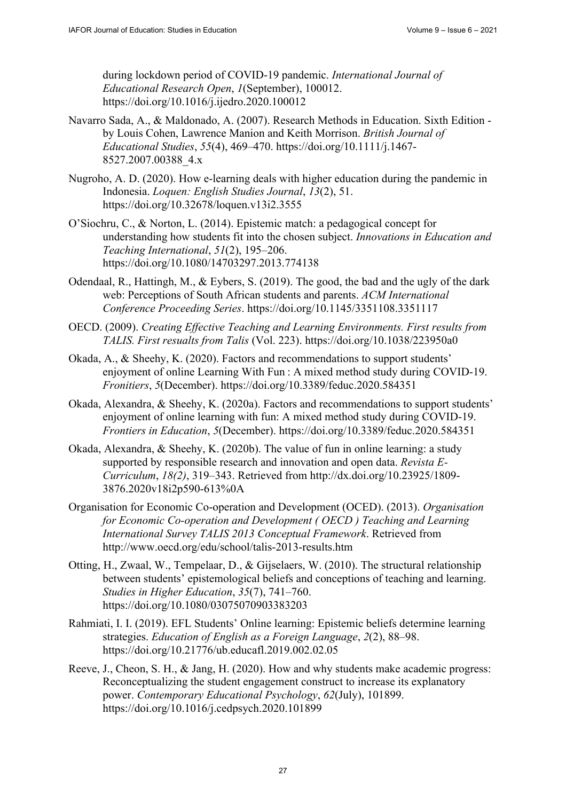during lockdown period of COVID-19 pandemic. *International Journal of Educational Research Open*, *1*(September), 100012. <https://doi.org/10.1016/j.ijedro.2020.100012>

- Navarro Sada, A., & Maldonado, A. (2007). Research Methods in Education. Sixth Edition by Louis Cohen, Lawrence Manion and Keith Morrison. *British Journal of Educational Studies*, *55*(4), 469–470. [https://doi.org/10.1111/j.1467-](https://doi.org/10.1111/j.1467-8527.2007.00388_4.x) [8527.2007.00388\\_4.x](https://doi.org/10.1111/j.1467-8527.2007.00388_4.x)
- Nugroho, A. D. (2020). How e-learning deals with higher education during the pandemic in Indonesia. *Loquen: English Studies Journal*, *13*(2), 51. <https://doi.org/10.32678/loquen.v13i2.3555>
- O'Siochru, C., & Norton, L. (2014). Epistemic match: a pedagogical concept for understanding how students fit into the chosen subject. *Innovations in Education and Teaching International*, *51*(2), 195–206. <https://doi.org/10.1080/14703297.2013.774138>
- Odendaal, R., Hattingh, M., & Eybers, S. (2019). The good, the bad and the ugly of the dark web: Perceptions of South African students and parents. *ACM International Conference Proceeding Series*. <https://doi.org/10.1145/3351108.3351117>
- OECD. (2009). *Creating Effective Teaching and Learning Environments. First results from TALIS. First resualts from Talis* (Vol. 223). <https://doi.org/10.1038/223950a0>
- Okada, A., & Sheehy, K. (2020). Factors and recommendations to support students' enjoyment of online Learning With Fun : A mixed method study during COVID-19. *Fronitiers*, *5*(December). <https://doi.org/10.3389/feduc.2020.584351>
- Okada, Alexandra, & Sheehy, K. (2020a). Factors and recommendations to support students' enjoyment of online learning with fun: A mixed method study during COVID-19. *Frontiers in Education*, *5*(December).<https://doi.org/10.3389/feduc.2020.584351>
- Okada, Alexandra, & Sheehy, K. (2020b). The value of fun in online learning: a study supported by responsible research and innovation and open data. *Revista E-Curriculum*, *18(2)*, 319–343. Retrieved from [http://dx.doi.org/10.23925/1809-](http://dx.doi.org/10.23925/1809-3876.2020v18i2p590-613%0A) [3876.2020v18i2p590-613%0A](http://dx.doi.org/10.23925/1809-3876.2020v18i2p590-613%0A)
- Organisation for Economic Co-operation and Development (OCED). (2013). *Organisation for Economic Co-operation and Development ( OECD ) Teaching and Learning International Survey TALIS 2013 Conceptual Framework*. Retrieved from <http://www.oecd.org/edu/school/talis-2013-results.htm>
- Otting, H., Zwaal, W., Tempelaar, D., & Gijselaers, W. (2010). The structural relationship between students' epistemological beliefs and conceptions of teaching and learning. *Studies in Higher Education*, *35*(7), 741–760. <https://doi.org/10.1080/03075070903383203>
- Rahmiati, I. I. (2019). EFL Students' Online learning: Epistemic beliefs determine learning strategies. *Education of English as a Foreign Language*, *2*(2), 88–98. <https://doi.org/10.21776/ub.educafl.2019.002.02.05>
- Reeve, J., Cheon, S. H., & Jang, H. (2020). How and why students make academic progress: Reconceptualizing the student engagement construct to increase its explanatory power. *Contemporary Educational Psychology*, *62*(July), 101899. <https://doi.org/10.1016/j.cedpsych.2020.101899>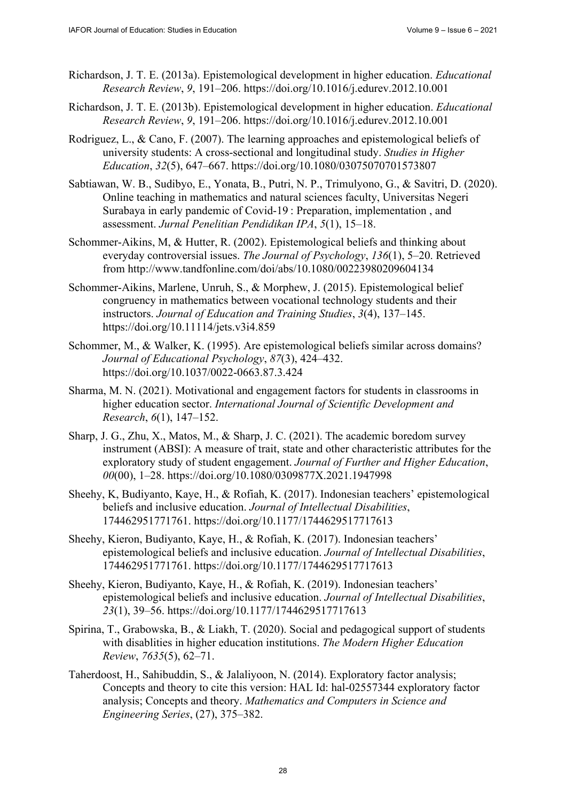- Richardson, J. T. E. (2013a). Epistemological development in higher education. *Educational Research Review*, *9*, 191–206.<https://doi.org/10.1016/j.edurev.2012.10.001>
- Richardson, J. T. E. (2013b). Epistemological development in higher education. *Educational Research Review*, *9*, 191–206.<https://doi.org/10.1016/j.edurev.2012.10.001>
- Rodriguez, L., & Cano, F. (2007). The learning approaches and epistemological beliefs of university students: A cross-sectional and longitudinal study. *Studies in Higher Education*, *32*(5), 647–667.<https://doi.org/10.1080/03075070701573807>
- Sabtiawan, W. B., Sudibyo, E., Yonata, B., Putri, N. P., Trimulyono, G., & Savitri, D. (2020). Online teaching in mathematics and natural sciences faculty, Universitas Negeri Surabaya in early pandemic of Covid-19 : Preparation, implementation , and assessment. *Jurnal Penelitian Pendidikan IPA*, *5*(1), 15–18.
- Schommer-Aikins, M, & Hutter, R. (2002). Epistemological beliefs and thinking about everyday controversial issues. *The Journal of Psychology*, *136*(1), 5–20. Retrieved from<http://www.tandfonline.com/doi/abs/10.1080/00223980209604134>
- Schommer-Aikins, Marlene, Unruh, S., & Morphew, J. (2015). Epistemological belief congruency in mathematics between vocational technology students and their instructors. *Journal of Education and Training Studies*, *3*(4), 137–145. <https://doi.org/10.11114/jets.v3i4.859>
- Schommer, M., & Walker, K. (1995). Are epistemological beliefs similar across domains? *Journal of Educational Psychology*, *87*(3), 424–432. <https://doi.org/10.1037/0022-0663.87.3.424>
- Sharma, M. N. (2021). Motivational and engagement factors for students in classrooms in higher education sector. *International Journal of Scientific Development and Research*, *6*(1), 147–152.
- Sharp, J. G., Zhu, X., Matos, M., & Sharp, J. C. (2021). The academic boredom survey instrument (ABSI): A measure of trait, state and other characteristic attributes for the exploratory study of student engagement. *Journal of Further and Higher Education*, *00*(00), 1–28. <https://doi.org/10.1080/0309877X.2021.1947998>
- Sheehy, K, Budiyanto, Kaye, H., & Rofiah, K. (2017). Indonesian teachers' epistemological beliefs and inclusive education. *Journal of Intellectual Disabilities*, 174462951771761. <https://doi.org/10.1177/1744629517717613>
- Sheehy, Kieron, Budiyanto, Kaye, H., & Rofiah, K. (2017). Indonesian teachers' epistemological beliefs and inclusive education. *Journal of Intellectual Disabilities*, 174462951771761. <https://doi.org/10.1177/1744629517717613>
- Sheehy, Kieron, Budiyanto, Kaye, H., & Rofiah, K. (2019). Indonesian teachers' epistemological beliefs and inclusive education. *Journal of Intellectual Disabilities*, *23*(1), 39–56. <https://doi.org/10.1177/1744629517717613>
- Spirina, T., Grabowska, B., & Liakh, T. (2020). Social and pedagogical support of students with disablities in higher education institutions. *The Modern Higher Education Review*, *7635*(5), 62–71.
- Taherdoost, H., Sahibuddin, S., & Jalaliyoon, N. (2014). Exploratory factor analysis; Concepts and theory to cite this version: HAL Id: hal-02557344 exploratory factor analysis; Concepts and theory. *Mathematics and Computers in Science and Engineering Series*, (27), 375–382.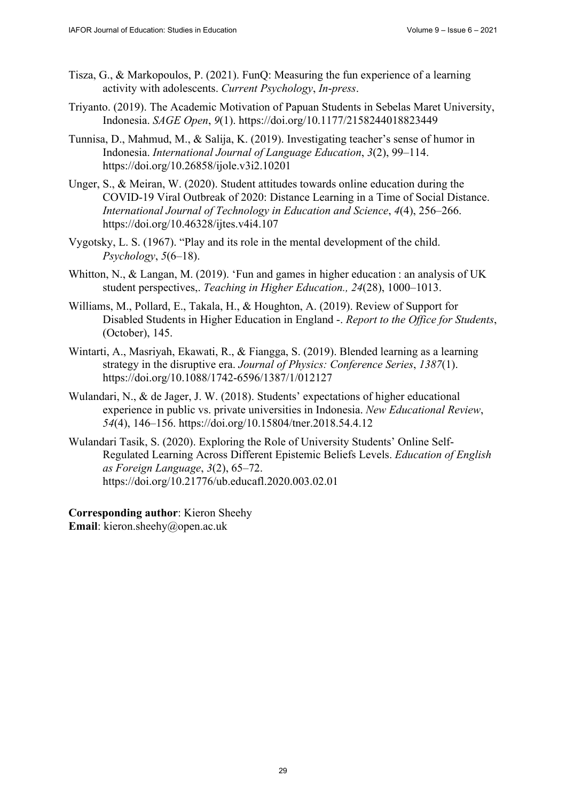- Tisza, G., & Markopoulos, P. (2021). FunQ: Measuring the fun experience of a learning activity with adolescents. *Current Psychology*, *In*-*press*.
- Triyanto. (2019). The Academic Motivation of Papuan Students in Sebelas Maret University, Indonesia. *SAGE Open*, *9*(1). <https://doi.org/10.1177/2158244018823449>
- Tunnisa, D., Mahmud, M., & Salija, K. (2019). Investigating teacher's sense of humor in Indonesia. *International Journal of Language Education*, *3*(2), 99–114. <https://doi.org/10.26858/ijole.v3i2.10201>
- Unger, S., & Meiran, W. (2020). Student attitudes towards online education during the COVID-19 Viral Outbreak of 2020: Distance Learning in a Time of Social Distance. *International Journal of Technology in Education and Science*, *4*(4), 256–266. <https://doi.org/10.46328/ijtes.v4i4.107>
- Vygotsky, L. S. (1967). "Play and its role in the mental development of the child. *Psychology*, *5*(6–18).
- Whitton, N., & Langan, M. (2019). 'Fun and games in higher education : an analysis of UK student perspectives,. *Teaching in Higher Education., 24*(28), 1000–1013.
- Williams, M., Pollard, E., Takala, H., & Houghton, A. (2019). Review of Support for Disabled Students in Higher Education in England -. *Report to the Office for Students*, (October), 145.
- Wintarti, A., Masriyah, Ekawati, R., & Fiangga, S. (2019). Blended learning as a learning strategy in the disruptive era. *Journal of Physics: Conference Series*, *1387*(1). <https://doi.org/10.1088/1742-6596/1387/1/012127>
- Wulandari, N., & de Jager, J. W. (2018). Students' expectations of higher educational experience in public vs. private universities in Indonesia. *New Educational Review*, *54*(4), 146–156. <https://doi.org/10.15804/tner.2018.54.4.12>
- Wulandari Tasik, S. (2020). Exploring the Role of University Students' Online Self-Regulated Learning Across Different Epistemic Beliefs Levels. *Education of English as Foreign Language*, *3*(2), 65–72. <https://doi.org/10.21776/ub.educafl.2020.003.02.01>

**Corresponding author**: Kieron Sheehy **Email**: [kieron.sheehy@open.ac.uk](mailto:kieron.sheehy@open.ac.uk)